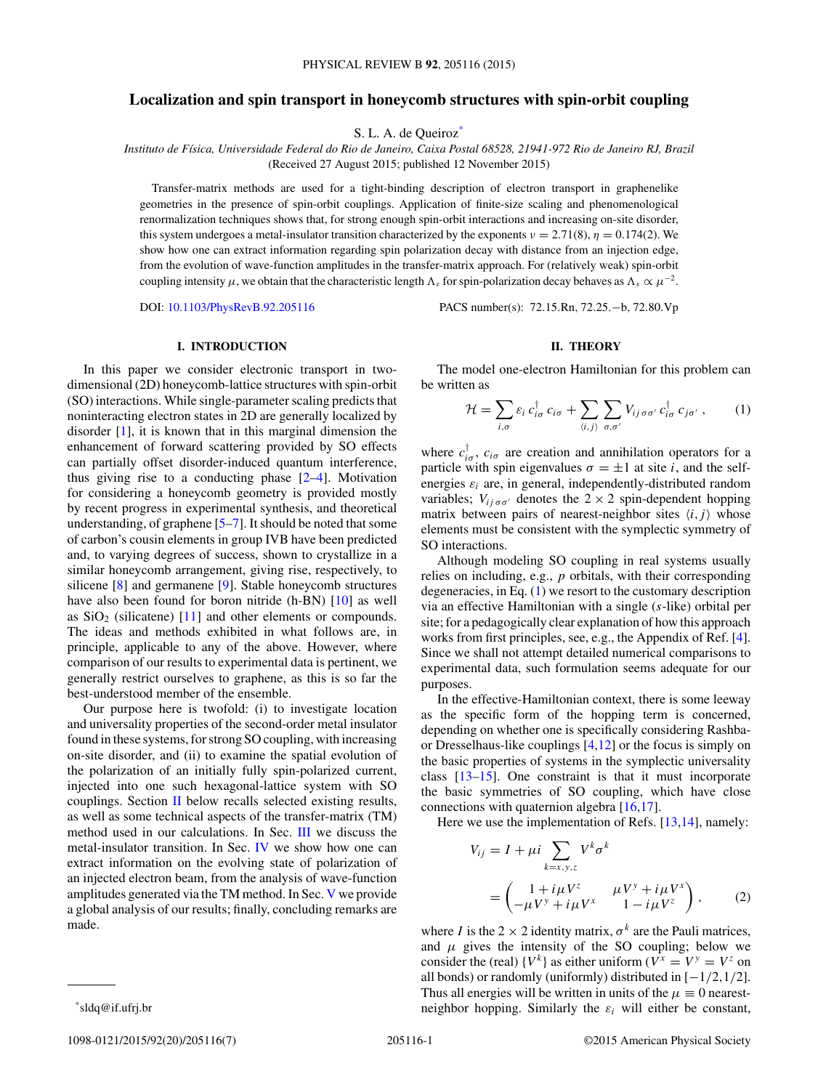# <span id="page-0-0"></span>**Localization and spin transport in honeycomb structures with spin-orbit coupling**

S. L. A. de Queiroz\*

*Instituto de F´ısica, Universidade Federal do Rio de Janeiro, Caixa Postal 68528, 21941-972 Rio de Janeiro RJ, Brazil* (Received 27 August 2015; published 12 November 2015)

Transfer-matrix methods are used for a tight-binding description of electron transport in graphenelike geometries in the presence of spin-orbit couplings. Application of finite-size scaling and phenomenological renormalization techniques shows that, for strong enough spin-orbit interactions and increasing on-site disorder, this system undergoes a metal-insulator transition characterized by the exponents  $v = 2.71(8)$ ,  $\eta = 0.174(2)$ . We show how one can extract information regarding spin polarization decay with distance from an injection edge, from the evolution of wave-function amplitudes in the transfer-matrix approach. For (relatively weak) spin-orbit coupling intensity  $\mu$ , we obtain that the characteristic length  $\Lambda_s$  for spin-polarization decay behaves as  $\Lambda_s \propto \mu^{-2}$ .

DOI: [10.1103/PhysRevB.92.205116](http://dx.doi.org/10.1103/PhysRevB.92.205116) PACS number(s): 72*.*15*.*Rn*,* 72*.*25*.*−b*,* 72*.*80*.*Vp

## **I. INTRODUCTION**

In this paper we consider electronic transport in twodimensional (2D) honeycomb-lattice structures with spin-orbit (SO) interactions. While single-parameter scaling predicts that noninteracting electron states in 2D are generally localized by disorder [\[1\]](#page-5-0), it is known that in this marginal dimension the enhancement of forward scattering provided by SO effects can partially offset disorder-induced quantum interference, thus giving rise to a conducting phase [\[2–4\]](#page-5-0). Motivation for considering a honeycomb geometry is provided mostly by recent progress in experimental synthesis, and theoretical understanding, of graphene [\[5–7\]](#page-5-0). It should be noted that some of carbon's cousin elements in group IVB have been predicted and, to varying degrees of success, shown to crystallize in a similar honeycomb arrangement, giving rise, respectively, to silicene [\[8\]](#page-5-0) and germanene [\[9\]](#page-5-0). Stable honeycomb structures have also been found for boron nitride (h-BN) [\[10\]](#page-5-0) as well as  $SiO<sub>2</sub>$  (silicatene) [\[11\]](#page-5-0) and other elements or compounds. The ideas and methods exhibited in what follows are, in principle, applicable to any of the above. However, where comparison of our results to experimental data is pertinent, we generally restrict ourselves to graphene, as this is so far the best-understood member of the ensemble.

Our purpose here is twofold: (i) to investigate location and universality properties of the second-order metal insulator found in these systems, for strong SO coupling, with increasing on-site disorder, and (ii) to examine the spatial evolution of the polarization of an initially fully spin-polarized current, injected into one such hexagonal-lattice system with SO couplings. Section II below recalls selected existing results, as well as some technical aspects of the transfer-matrix (TM) method used in our calculations. In Sec. [III](#page-1-0) we discuss the metal-insulator transition. In Sec. [IV](#page-3-0) we show how one can extract information on the evolving state of polarization of an injected electron beam, from the analysis of wave-function amplitudes generated via the TM method. In Sec. [V](#page-5-0) we provide a global analysis of our results; finally, concluding remarks are made.

## **II. THEORY**

The model one-electron Hamiltonian for this problem can be written as

$$
\mathcal{H} = \sum_{i,\sigma} \varepsilon_i \, c_{i\sigma}^\dagger \, c_{i\sigma} + \sum_{\langle i,j \rangle} \sum_{\sigma,\sigma'} V_{ij\,\sigma\sigma'} \, c_{i\sigma}^\dagger \, c_{j\sigma'} \,, \tag{1}
$$

where  $c_{i\sigma}^{\dagger}$ ,  $c_{i\sigma}$  are creation and annihilation operators for a particle with spin eigenvalues  $\sigma = \pm 1$  at site *i*, and the selfenergies  $\varepsilon_i$  are, in general, independently-distributed random variables;  $V_{ij \sigma \sigma'}$  denotes the  $2 \times 2$  spin-dependent hopping matrix between pairs of nearest-neighbor sites  $\langle i, j \rangle$  whose elements must be consistent with the symplectic symmetry of SO interactions.

Although modeling SO coupling in real systems usually relies on including, e.g., *p* orbitals, with their corresponding degeneracies, in Eq. (1) we resort to the customary description via an effective Hamiltonian with a single (*s*-like) orbital per site; for a pedagogically clear explanation of how this approach works from first principles, see, e.g., the Appendix of Ref. [\[4\]](#page-5-0). Since we shall not attempt detailed numerical comparisons to experimental data, such formulation seems adequate for our purposes.

In the effective-Hamiltonian context, there is some leeway as the specific form of the hopping term is concerned, depending on whether one is specifically considering Rashbaor Dresselhaus-like couplings [\[4](#page-5-0)[,12\]](#page-6-0) or the focus is simply on the basic properties of systems in the symplectic universality class [\[13–15\]](#page-6-0). One constraint is that it must incorporate the basic symmetries of SO coupling, which have close connections with quaternion algebra [\[16,17\]](#page-6-0).

Here we use the implementation of Refs. [\[13,14\]](#page-6-0), namely:

$$
V_{ij} = I + \mu i \sum_{k=x,y,z} V^k \sigma^k
$$
  
=  $\begin{pmatrix} 1 + i\mu V^z & \mu V^y + i\mu V^x \\ -\mu V^y + i\mu V^x & 1 - i\mu V^z \end{pmatrix}$ , (2)

where *I* is the 2  $\times$  2 identity matrix,  $\sigma^k$  are the Pauli matrices, and  $\mu$  gives the intensity of the SO coupling; below we consider the (real)  $\{V^k\}$  as either uniform ( $V^x = V^y = V^z$  on all bonds) or randomly (uniformly) distributed in [−1*/*2*,*1*/*2]. Thus all energies will be written in units of the  $\mu \equiv 0$  nearestneighbor hopping. Similarly the  $\varepsilon_i$  will either be constant,

<sup>\*</sup>sldq@if.ufrj.br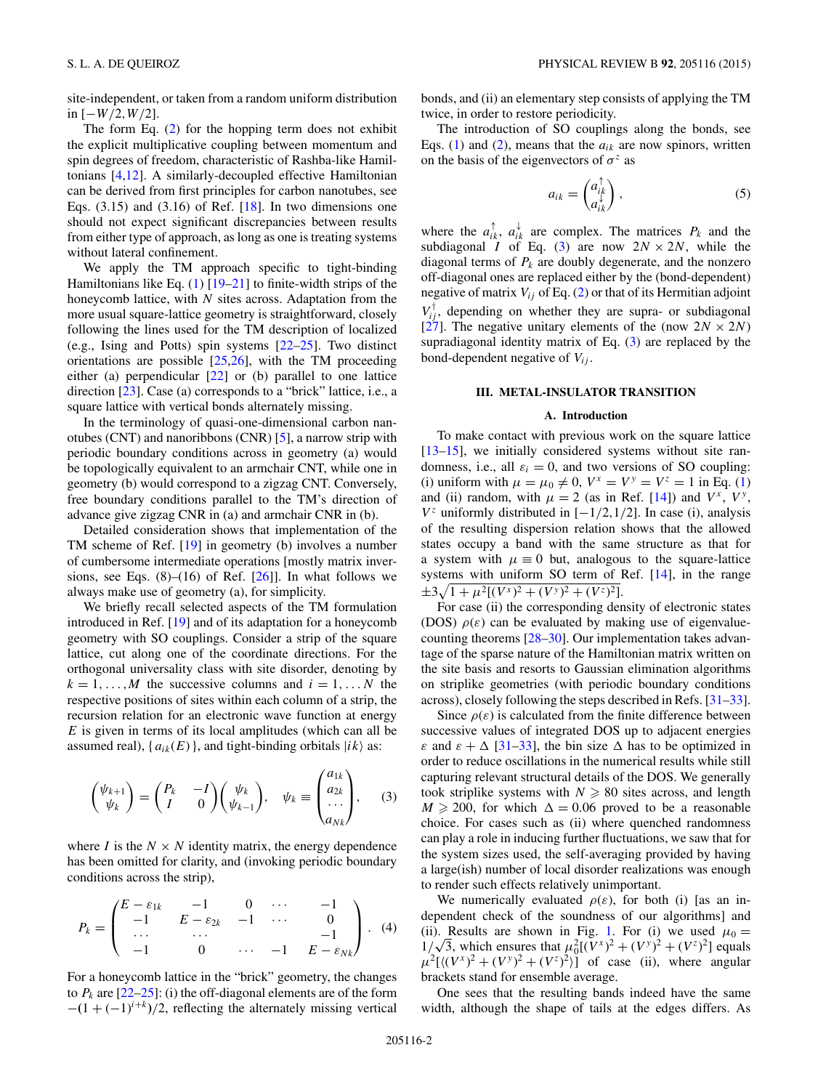<span id="page-1-0"></span>site-independent, or taken from a random uniform distribution in [−*W/*2*,W/*2].

The form Eq. [\(2\)](#page-0-0) for the hopping term does not exhibit the explicit multiplicative coupling between momentum and spin degrees of freedom, characteristic of Rashba-like Hamiltonians [\[4](#page-5-0)[,12\]](#page-6-0). A similarly-decoupled effective Hamiltonian can be derived from first principles for carbon nanotubes, see Eqs.  $(3.15)$  and  $(3.16)$  of Ref. [\[18\]](#page-6-0). In two dimensions one should not expect significant discrepancies between results from either type of approach, as long as one is treating systems without lateral confinement.

We apply the TM approach specific to tight-binding Hamiltonians like Eq.  $(1)$  [\[19–21\]](#page-6-0) to finite-width strips of the honeycomb lattice, with *N* sites across. Adaptation from the more usual square-lattice geometry is straightforward, closely following the lines used for the TM description of localized (e.g., Ising and Potts) spin systems [\[22–25\]](#page-6-0). Two distinct orientations are possible [\[25,26\]](#page-6-0), with the TM proceeding either (a) perpendicular [\[22\]](#page-6-0) or (b) parallel to one lattice direction [\[23\]](#page-6-0). Case (a) corresponds to a "brick" lattice, i.e., a square lattice with vertical bonds alternately missing.

In the terminology of quasi-one-dimensional carbon nanotubes (CNT) and nanoribbons (CNR) [\[5\]](#page-5-0), a narrow strip with periodic boundary conditions across in geometry (a) would be topologically equivalent to an armchair CNT, while one in geometry (b) would correspond to a zigzag CNT. Conversely, free boundary conditions parallel to the TM's direction of advance give zigzag CNR in (a) and armchair CNR in (b).

Detailed consideration shows that implementation of the TM scheme of Ref. [\[19\]](#page-6-0) in geometry (b) involves a number of cumbersome intermediate operations [mostly matrix inversions, see Eqs.  $(8)$ – $(16)$  of Ref.  $[26]$ . In what follows we always make use of geometry (a), for simplicity.

We briefly recall selected aspects of the TM formulation introduced in Ref. [\[19\]](#page-6-0) and of its adaptation for a honeycomb geometry with SO couplings. Consider a strip of the square lattice, cut along one of the coordinate directions. For the orthogonal universality class with site disorder, denoting by  $k = 1, \ldots, M$  the successive columns and  $i = 1, \ldots, N$  the respective positions of sites within each column of a strip, the recursion relation for an electronic wave function at energy *E* is given in terms of its local amplitudes (which can all be assumed real),  $\{a_{ik}(E)\}\$ , and tight-binding orbitals  $|ik\rangle$  as:

$$
\begin{pmatrix} \psi_{k+1} \\ \psi_k \end{pmatrix} = \begin{pmatrix} P_k & -I \\ I & 0 \end{pmatrix} \begin{pmatrix} \psi_k \\ \psi_{k-1} \end{pmatrix}, \quad \psi_k \equiv \begin{pmatrix} a_{1k} \\ a_{2k} \\ \dots \\ a_{Nk} \end{pmatrix}, \quad (3)
$$

where *I* is the  $N \times N$  identity matrix, the energy dependence has been omitted for clarity, and (invoking periodic boundary conditions across the strip),

$$
P_k = \begin{pmatrix} E - \varepsilon_{1k} & -1 & 0 & \cdots & -1 \\ -1 & E - \varepsilon_{2k} & -1 & \cdots & 0 \\ \cdots & \cdots & \cdots & & -1 \\ -1 & 0 & \cdots & -1 & E - \varepsilon_{Nk} \end{pmatrix} . (4)
$$

For a honeycomb lattice in the "brick" geometry, the changes to  $P_k$  are  $[22-25]$ : (i) the off-diagonal elements are of the form  $-(1 + (-1)^{i+k})/2$ , reflecting the alternately missing vertical bonds, and (ii) an elementary step consists of applying the TM twice, in order to restore periodicity.

The introduction of SO couplings along the bonds, see Eqs. [\(1\)](#page-0-0) and [\(2\)](#page-0-0), means that the  $a_{ik}$  are now spinors, written on the basis of the eigenvectors of  $\sigma^z$  as

$$
a_{ik} = \begin{pmatrix} a_{ik}^{\uparrow} \\ a_{ik}^{\downarrow} \end{pmatrix}, \tag{5}
$$

where the  $a_{ik}^{\uparrow}$ ,  $a_{ik}^{\downarrow}$  are complex. The matrices  $P_k$  and the subdiagonal *I* of Eq. (3) are now  $2N \times 2N$ , while the diagonal terms of  $P_k$  are doubly degenerate, and the nonzero off-diagonal ones are replaced either by the (bond-dependent) negative of matrix  $V_{ij}$  of Eq. [\(2\)](#page-0-0) or that of its Hermitian adjoint  $V_{ij}^{\dagger}$ , depending on whether they are supra- or subdiagonal [\[27\]](#page-6-0). The negative unitary elements of the (now  $2N \times 2N$ ) supradiagonal identity matrix of Eq. (3) are replaced by the bond-dependent negative of  $V_{ij}$ .

## **III. METAL-INSULATOR TRANSITION**

#### **A. Introduction**

To make contact with previous work on the square lattice [\[13–15\]](#page-6-0), we initially considered systems without site randomness, i.e., all  $\varepsilon_i = 0$ , and two versions of SO coupling: (i) uniform with  $\mu = \mu_0 \neq 0$ ,  $V^x = V^y = V^z = 1$  in Eq. [\(1\)](#page-0-0) and (ii) random, with  $\mu = 2$  (as in Ref. [\[14\]](#page-6-0)) and  $V^x$ ,  $V^y$ , *V*<sup>*z*</sup> uniformly distributed in  $[-1/2,1/2]$ . In case (i), analysis of the resulting dispersion relation shows that the allowed states occupy a band with the same structure as that for a system with  $\mu \equiv 0$  but, analogous to the square-lattice systems with uniform SO term of Ref. [\[14\]](#page-6-0), in the range  $\pm 3\sqrt{1+\mu^2[(V^x)^2+(V^y)^2+(V^z)^2]}$ .

For case (ii) the corresponding density of electronic states (DOS)  $\rho(\varepsilon)$  can be evaluated by making use of eigenvaluecounting theorems [\[28–30\]](#page-6-0). Our implementation takes advantage of the sparse nature of the Hamiltonian matrix written on the site basis and resorts to Gaussian elimination algorithms on striplike geometries (with periodic boundary conditions across), closely following the steps described in Refs. [\[31–33\]](#page-6-0).

Since  $\rho(\varepsilon)$  is calculated from the finite difference between successive values of integrated DOS up to adjacent energies *ε* and  $\epsilon + \Delta$  [\[31–33\]](#page-6-0), the bin size  $\Delta$  has to be optimized in order to reduce oscillations in the numerical results while still capturing relevant structural details of the DOS. We generally took striplike systems with  $N \ge 80$  sites across, and length  $M \ge 200$ , for which  $\Delta = 0.06$  proved to be a reasonable choice. For cases such as (ii) where quenched randomness can play a role in inducing further fluctuations, we saw that for the system sizes used, the self-averaging provided by having a large(ish) number of local disorder realizations was enough to render such effects relatively unimportant.

We numerically evaluated  $\rho(\varepsilon)$ , for both (i) [as an independent check of the soundness of our algorithms] and (ii). Results are shown in Fig. [1.](#page-2-0) For (i) we used  $\mu_0 =$ (ii). Results are shown in Fig. 1. For (i) we used  $\mu_0 = 1/\sqrt{3}$ , which ensures that  $\mu_0^2[(V^x)^2 + (V^y)^2 + (V^z)^2]$  equals  $\mu^2$ [ $\langle (V^x)^2 + (V^y)^2 + (V^z)^2 \rangle$ ] of case (ii), where angular brackets stand for ensemble average.

One sees that the resulting bands indeed have the same width, although the shape of tails at the edges differs. As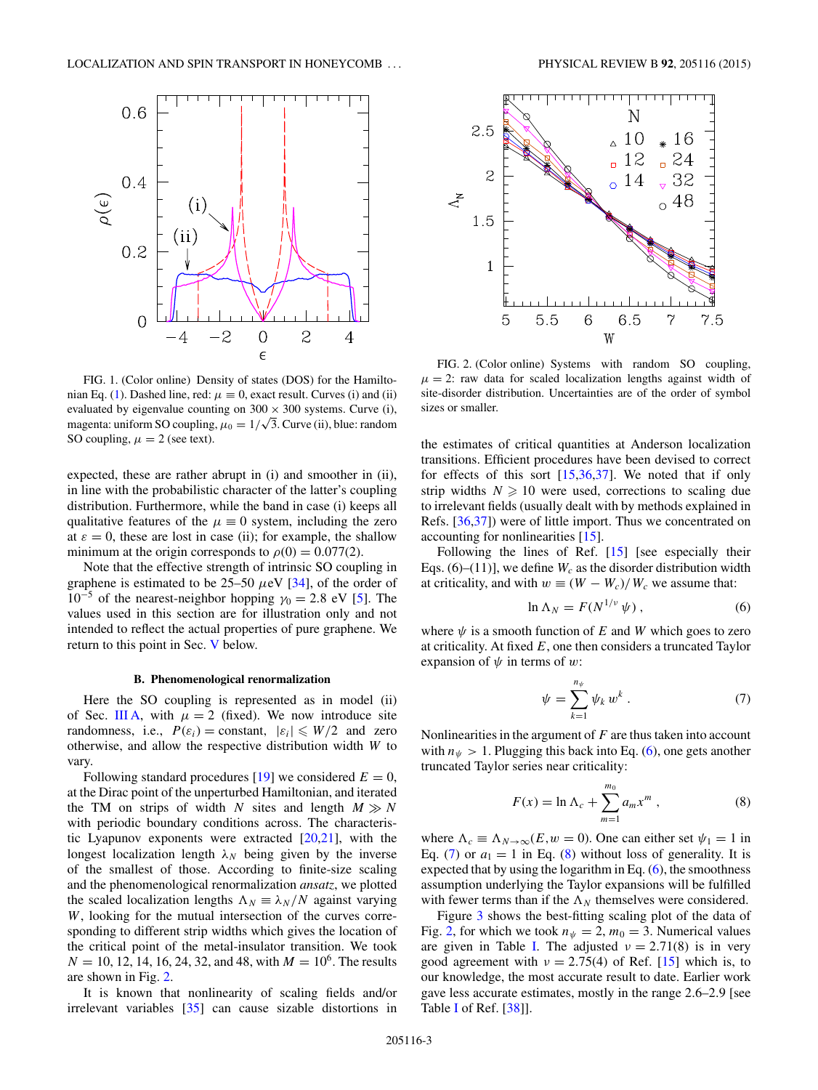<span id="page-2-0"></span>

FIG. 1. (Color online) Density of states (DOS) for the Hamilto-nian Eq. [\(1\)](#page-0-0). Dashed line, red:  $\mu \equiv 0$ , exact result. Curves (i) and (ii) evaluated by eigenvalue counting on  $300 \times 300$  systems. Curve (i), evaluated by eigenvalue counting on  $300 \times 300$  systems. Curve (1), magenta: uniform SO coupling,  $\mu_0 = 1/\sqrt{3}$ . Curve (ii), blue: random SO coupling,  $\mu = 2$  (see text).

expected, these are rather abrupt in (i) and smoother in (ii), in line with the probabilistic character of the latter's coupling distribution. Furthermore, while the band in case (i) keeps all qualitative features of the  $\mu \equiv 0$  system, including the zero at  $\varepsilon = 0$ , these are lost in case (ii); for example, the shallow minimum at the origin corresponds to  $\rho(0) = 0.077(2)$ .

Note that the effective strength of intrinsic SO coupling in graphene is estimated to be 25–50 *μ*eV [\[34\]](#page-6-0), of the order of 10<sup>−5</sup> of the nearest-neighbor hopping  $\gamma_0 = 2.8$  eV [\[5\]](#page-5-0). The values used in this section are for illustration only and not intended to reflect the actual properties of pure graphene. We return to this point in Sec. [V](#page-5-0) below.

### **B. Phenomenological renormalization**

Here the SO coupling is represented as in model (ii) of Sec. [III A,](#page-1-0) with  $\mu = 2$  (fixed). We now introduce site randomness, i.e.,  $P(\varepsilon_i) = \text{constant}, |\varepsilon_i| \le W/2$  and zero otherwise, and allow the respective distribution width *W* to vary.

Following standard procedures [\[19\]](#page-6-0) we considered  $E = 0$ , at the Dirac point of the unperturbed Hamiltonian, and iterated the TM on strips of width *N* sites and length  $M \gg N$ with periodic boundary conditions across. The characteristic Lyapunov exponents were extracted  $[20,21]$ , with the longest localization length  $\lambda_N$  being given by the inverse of the smallest of those. According to finite-size scaling and the phenomenological renormalization *ansatz*, we plotted the scaled localization lengths  $\Lambda_N \equiv \lambda_N/N$  against varying *W*, looking for the mutual intersection of the curves corresponding to different strip widths which gives the location of the critical point of the metal-insulator transition. We took  $N = 10, 12, 14, 16, 24, 32,$  and 48, with  $M = 10<sup>6</sup>$ . The results are shown in Fig. 2.

It is known that nonlinearity of scaling fields and/or irrelevant variables [\[35\]](#page-6-0) can cause sizable distortions in



FIG. 2. (Color online) Systems with random SO coupling,  $\mu = 2$ : raw data for scaled localization lengths against width of site-disorder distribution. Uncertainties are of the order of symbol sizes or smaller.

the estimates of critical quantities at Anderson localization transitions. Efficient procedures have been devised to correct for effects of this sort  $[15,36,37]$ . We noted that if only strip widths  $N \geq 10$  were used, corrections to scaling due to irrelevant fields (usually dealt with by methods explained in Refs. [\[36,37\]](#page-6-0)) were of little import. Thus we concentrated on accounting for nonlinearities [\[15\]](#page-6-0).

Following the lines of Ref. [\[15\]](#page-6-0) [see especially their Eqs.  $(6)$ – $(11)$ ], we define  $W_c$  as the disorder distribution width at criticality, and with  $w \equiv (W - W_c)/W_c$  we assume that:

$$
\ln \Lambda_N = F(N^{1/\nu} \psi) \,, \tag{6}
$$

where  $\psi$  is a smooth function of *E* and *W* which goes to zero at criticality. At fixed *E*, one then considers a truncated Taylor expansion of *ψ* in terms of *w*:

$$
\psi = \sum_{k=1}^{n_{\psi}} \psi_k w^k . \tag{7}
$$

Nonlinearities in the argument of *F* are thus taken into account with  $n_{\psi} > 1$ . Plugging this back into Eq. (6), one gets another truncated Taylor series near criticality:

$$
F(x) = \ln \Lambda_c + \sum_{m=1}^{m_0} a_m x^m , \qquad (8)
$$

where  $\Lambda_c \equiv \Lambda_{N\to\infty}(E, w = 0)$ . One can either set  $\psi_1 = 1$  in Eq. (7) or  $a_1 = 1$  in Eq. (8) without loss of generality. It is expected that by using the logarithm in Eq.  $(6)$ , the smoothness assumption underlying the Taylor expansions will be fulfilled with fewer terms than if the  $\Lambda_N$  themselves were considered.

Figure [3](#page-3-0) shows the best-fitting scaling plot of the data of Fig. 2, for which we took  $n_{\psi} = 2$ ,  $m_0 = 3$ . Numerical values are given in Table [I.](#page-3-0) The adjusted  $\nu = 2.71(8)$  is in very good agreement with  $\nu = 2.75(4)$  of Ref. [\[15\]](#page-6-0) which is, to our knowledge, the most accurate result to date. Earlier work gave less accurate estimates, mostly in the range 2*.*6–2*.*9 [see Table [I](#page-3-0) of Ref. [\[38\]](#page-6-0)].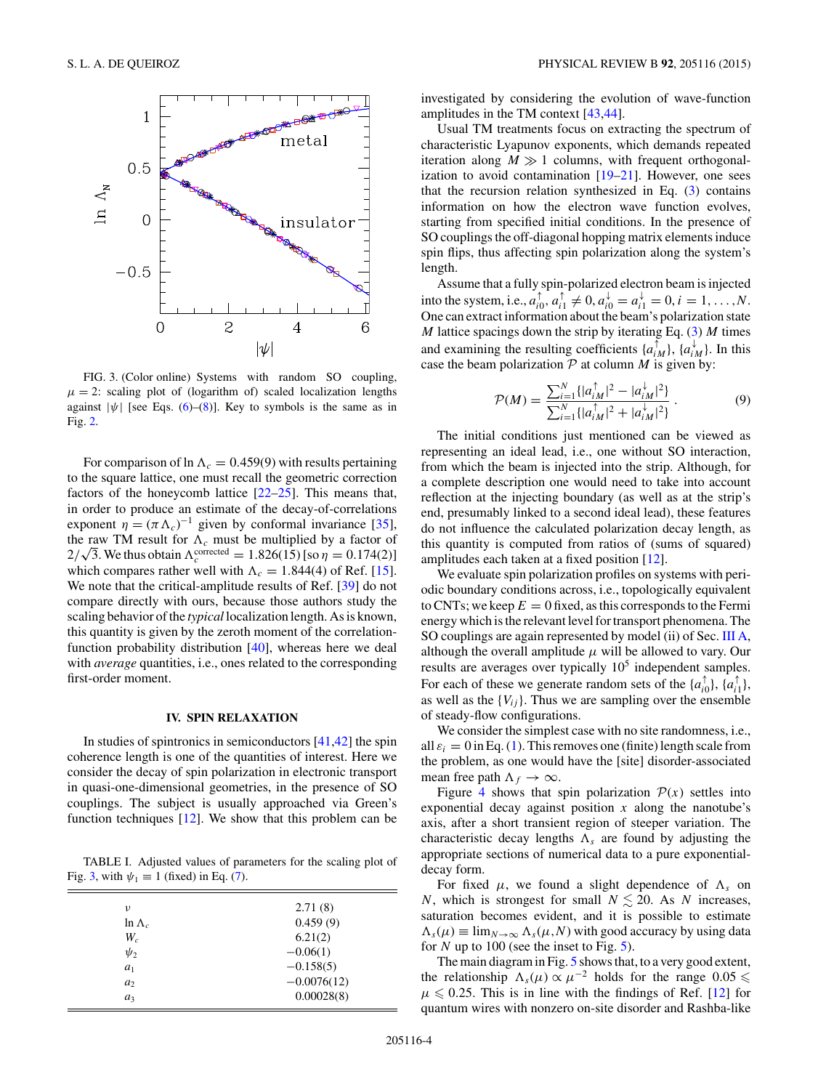<span id="page-3-0"></span>

FIG. 3. (Color online) Systems with random SO coupling,  $\mu = 2$ : scaling plot of (logarithm of) scaled localization lengths against  $|\psi|$  [see Eqs. [\(6\)](#page-2-0)–[\(8\)](#page-2-0)]. Key to symbols is the same as in Fig. [2.](#page-2-0)

For comparison of  $\ln \Lambda_c = 0.459(9)$  with results pertaining to the square lattice, one must recall the geometric correction factors of the honeycomb lattice [\[22–25\]](#page-6-0). This means that, in order to produce an estimate of the decay-of-correlations exponent  $\eta = (\pi \Lambda_c)^{-1}$  given by conformal invariance [\[35\]](#page-6-0), the raw TM result for  $\Lambda_c$  must be multiplied by a factor of the raw TM result for  $\Lambda_c$  must be multiplied by a factor of  $2/\sqrt{3}$ . We thus obtain  $\Lambda_c^{\text{corrected}} = 1.826(15)$  [so  $\eta = 0.174(2)$ ] which compares rather well with  $\Lambda_c = 1.844(4)$  of Ref. [\[15\]](#page-6-0). We note that the critical-amplitude results of Ref. [\[39\]](#page-6-0) do not compare directly with ours, because those authors study the scaling behavior of the *typical* localization length. As is known, this quantity is given by the zeroth moment of the correlationfunction probability distribution [\[40\]](#page-6-0), whereas here we deal with *average* quantities, i.e., ones related to the corresponding first-order moment.

#### **IV. SPIN RELAXATION**

In studies of spintronics in semiconductors  $[41, 42]$  the spin coherence length is one of the quantities of interest. Here we consider the decay of spin polarization in electronic transport in quasi-one-dimensional geometries, in the presence of SO couplings. The subject is usually approached via Green's function techniques [\[12\]](#page-6-0). We show that this problem can be

TABLE I. Adjusted values of parameters for the scaling plot of Fig. 3, with  $\psi_1 \equiv 1$  (fixed) in Eq. [\(7\)](#page-2-0).

| ν               | 2.71(8)       |
|-----------------|---------------|
| $\ln \Lambda_c$ | 0.459(9)      |
| $W_c$           | 6.21(2)       |
| $\psi_2$        | $-0.06(1)$    |
| $a_1$           | $-0.158(5)$   |
| $a_2$           | $-0.0076(12)$ |
| $a_3$           | 0.00028(8)    |
|                 |               |

investigated by considering the evolution of wave-function amplitudes in the TM context [\[43,44\]](#page-6-0).

Usual TM treatments focus on extracting the spectrum of characteristic Lyapunov exponents, which demands repeated iteration along  $M \gg 1$  columns, with frequent orthogonalization to avoid contamination [\[19–21\]](#page-6-0). However, one sees that the recursion relation synthesized in Eq. [\(3\)](#page-1-0) contains information on how the electron wave function evolves, starting from specified initial conditions. In the presence of SO couplings the off-diagonal hopping matrix elements induce spin flips, thus affecting spin polarization along the system's length.

Assume that a fully spin-polarized electron beam is injected into the system, i.e.,  $a_{i0}^{\uparrow}$ ,  $a_{i1}^{\uparrow} \neq 0$ ,  $a_{i0}^{\downarrow} = a_{i1}^{\downarrow} = 0$ ,  $i = 1, ..., N$ . One can extract information about the beam's polarization state *M* lattice spacings down the strip by iterating Eq. [\(3\)](#page-1-0) *M* times and examining the resulting coefficients  $\{a_{iM}^{\dagger}\}, \{a_{iM}^{\dagger}\}$ . In this case the beam polarization  $P$  at column  $M$  is given by:

$$
\mathcal{P}(M) = \frac{\sum_{i=1}^{N} \{ |a_{iM}^{\dagger}|^2 - |a_{iM}^{\dagger}|^2 \}}{\sum_{i=1}^{N} \{ |a_{iM}^{\dagger}|^2 + |a_{iM}^{\dagger}|^2 \}}.
$$
 (9)

The initial conditions just mentioned can be viewed as representing an ideal lead, i.e., one without SO interaction, from which the beam is injected into the strip. Although, for a complete description one would need to take into account reflection at the injecting boundary (as well as at the strip's end, presumably linked to a second ideal lead), these features do not influence the calculated polarization decay length, as this quantity is computed from ratios of (sums of squared) amplitudes each taken at a fixed position [\[12\]](#page-6-0).

We evaluate spin polarization profiles on systems with periodic boundary conditions across, i.e., topologically equivalent to CNTs; we keep  $E = 0$  fixed, as this corresponds to the Fermi energy which is the relevant level for transport phenomena. The SO couplings are again represented by model (ii) of Sec. [III A,](#page-1-0) although the overall amplitude  $\mu$  will be allowed to vary. Our results are averages over typically  $10<sup>5</sup>$  independent samples. For each of these we generate random sets of the  $\{a_{i0}^{\uparrow}\}, \{a_{i1}^{\uparrow}\},$ as well as the  ${V_{ij}}$ . Thus we are sampling over the ensemble of steady-flow configurations.

We consider the simplest case with no site randomness, i.e., all  $\varepsilon_i = 0$  in Eq. [\(1\)](#page-0-0). This removes one (finite) length scale from the problem, as one would have the [site] disorder-associated mean free path  $\Lambda_f \to \infty$ .

Figure [4](#page-4-0) shows that spin polarization  $P(x)$  settles into exponential decay against position *x* along the nanotube's axis, after a short transient region of steeper variation. The characteristic decay lengths  $\Lambda_s$  are found by adjusting the appropriate sections of numerical data to a pure exponentialdecay form.

For fixed  $\mu$ , we found a slight dependence of  $\Lambda_s$  on *N*, which is strongest for small  $N \le 20$ . As *N* increases, saturation becomes evident, and it is possible to estimate  $\Lambda_s(\mu) \equiv \lim_{N \to \infty} \Lambda_s(\mu, N)$  with good accuracy by using data for *N* up to 100 (see the inset to Fig. [5\)](#page-4-0).

The main diagram in Fig. [5](#page-4-0) shows that, to a very good extent, the relationship  $\Lambda_s(\mu) \propto \mu^{-2}$  holds for the range 0.05  $\leq$  $\mu \leq 0.25$ . This is in line with the findings of Ref. [\[12\]](#page-6-0) for quantum wires with nonzero on-site disorder and Rashba-like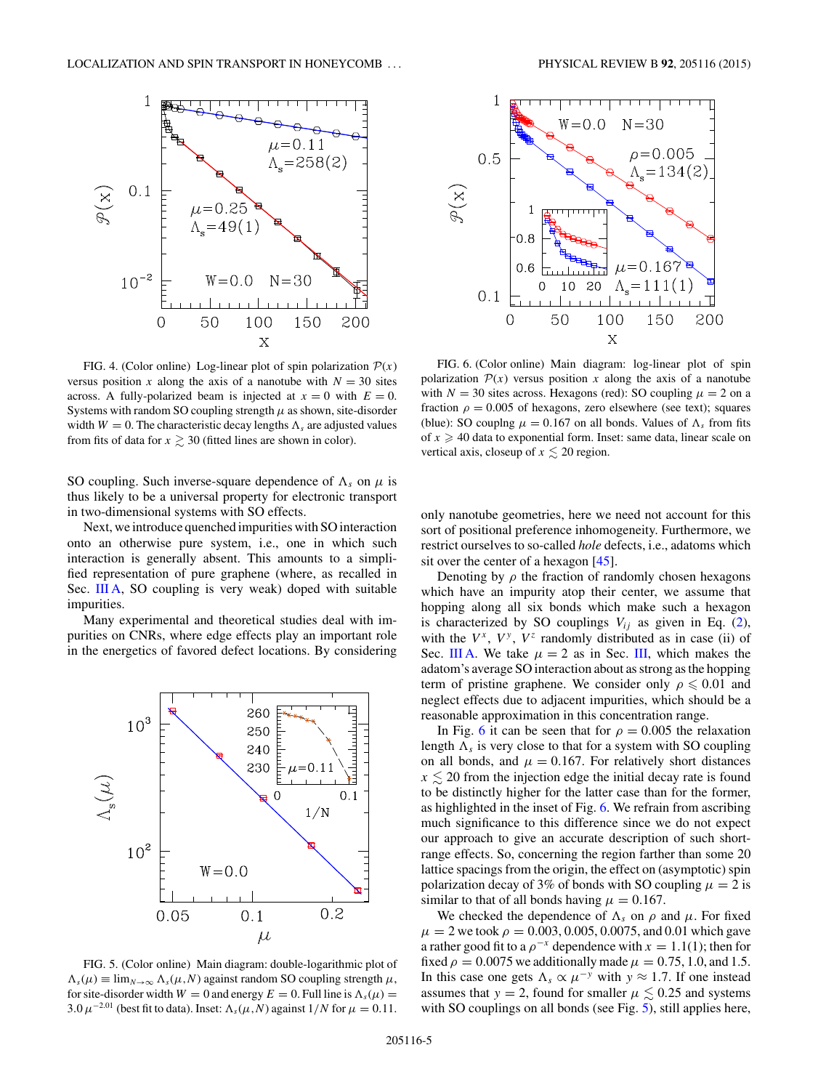<span id="page-4-0"></span>

FIG. 4. (Color online) Log-linear plot of spin polarization  $P(x)$ versus position *x* along the axis of a nanotube with  $N = 30$  sites across. A fully-polarized beam is injected at  $x = 0$  with  $E = 0$ . Systems with random SO coupling strength  $\mu$  as shown, site-disorder width  $W = 0$ . The characteristic decay lengths  $\Lambda_s$  are adjusted values from fits of data for  $x \gtrsim 30$  (fitted lines are shown in color).

SO coupling. Such inverse-square dependence of  $\Lambda_s$  on  $\mu$  is thus likely to be a universal property for electronic transport in two-dimensional systems with SO effects.

Next, we introduce quenched impurities with SO interaction onto an otherwise pure system, i.e., one in which such interaction is generally absent. This amounts to a simplified representation of pure graphene (where, as recalled in Sec. [III A,](#page-1-0) SO coupling is very weak) doped with suitable impurities.

Many experimental and theoretical studies deal with impurities on CNRs, where edge effects play an important role in the energetics of favored defect locations. By considering



FIG. 5. (Color online) Main diagram: double-logarithmic plot of  $\Lambda_s(\mu) \equiv \lim_{N \to \infty} \Lambda_s(\mu, N)$  against random SO coupling strength  $\mu$ , for site-disorder width  $W = 0$  and energy  $E = 0$ . Full line is  $\Lambda_s(\mu) =$ 3.0  $\mu^{-2.01}$  (best fit to data). Inset:  $\Lambda_s(\mu, N)$  against  $1/N$  for  $\mu = 0.11$ .



FIG. 6. (Color online) Main diagram: log-linear plot of spin polarization  $P(x)$  versus position x along the axis of a nanotube with  $N = 30$  sites across. Hexagons (red): SO coupling  $\mu = 2$  on a fraction  $\rho = 0.005$  of hexagons, zero elsewhere (see text); squares (blue): SO couplng  $\mu = 0.167$  on all bonds. Values of  $\Lambda_s$  from fits of  $x \geq 40$  data to exponential form. Inset: same data, linear scale on vertical axis, closeup of  $x \lesssim 20$  region.

only nanotube geometries, here we need not account for this sort of positional preference inhomogeneity. Furthermore, we restrict ourselves to so-called *hole* defects, i.e., adatoms which sit over the center of a hexagon [\[45\]](#page-6-0).

Denoting by  $\rho$  the fraction of randomly chosen hexagons which have an impurity atop their center, we assume that hopping along all six bonds which make such a hexagon is characterized by SO couplings  $V_{ij}$  as given in Eq. [\(2\)](#page-0-0), with the  $V^x$ ,  $V^y$ ,  $V^z$  randomly distributed as in case (ii) of Sec. [III A.](#page-1-0) We take  $\mu = 2$  as in Sec. [III,](#page-1-0) which makes the adatom's average SO interaction about as strong as the hopping term of pristine graphene. We consider only  $\rho \leq 0.01$  and neglect effects due to adjacent impurities, which should be a reasonable approximation in this concentration range.

In Fig. 6 it can be seen that for  $\rho = 0.005$  the relaxation length  $\Lambda_s$  is very close to that for a system with SO coupling on all bonds, and  $\mu = 0.167$ . For relatively short distances  $x \le 20$  from the injection edge the initial decay rate is found to be distinctly higher for the latter case than for the former, as highlighted in the inset of Fig. 6. We refrain from ascribing much significance to this difference since we do not expect our approach to give an accurate description of such shortrange effects. So, concerning the region farther than some 20 lattice spacings from the origin, the effect on (asymptotic) spin polarization decay of 3% of bonds with SO coupling  $\mu = 2$  is similar to that of all bonds having  $\mu = 0.167$ .

We checked the dependence of  $\Lambda_s$  on  $\rho$  and  $\mu$ . For fixed  $\mu = 2$  we took  $\rho = 0.003, 0.005, 0.0075,$  and 0.01 which gave a rather good fit to a  $\rho^{-x}$  dependence with  $x = 1.1(1)$ ; then for fixed  $\rho = 0.0075$  we additionally made  $\mu = 0.75, 1.0,$  and 1.5. In this case one gets  $\Lambda_s \propto \mu^{-y}$  with  $y \approx 1.7$ . If one instead assumes that  $y = 2$ , found for smaller  $\mu \leq 0.25$  and systems with SO couplings on all bonds (see Fig. 5), still applies here,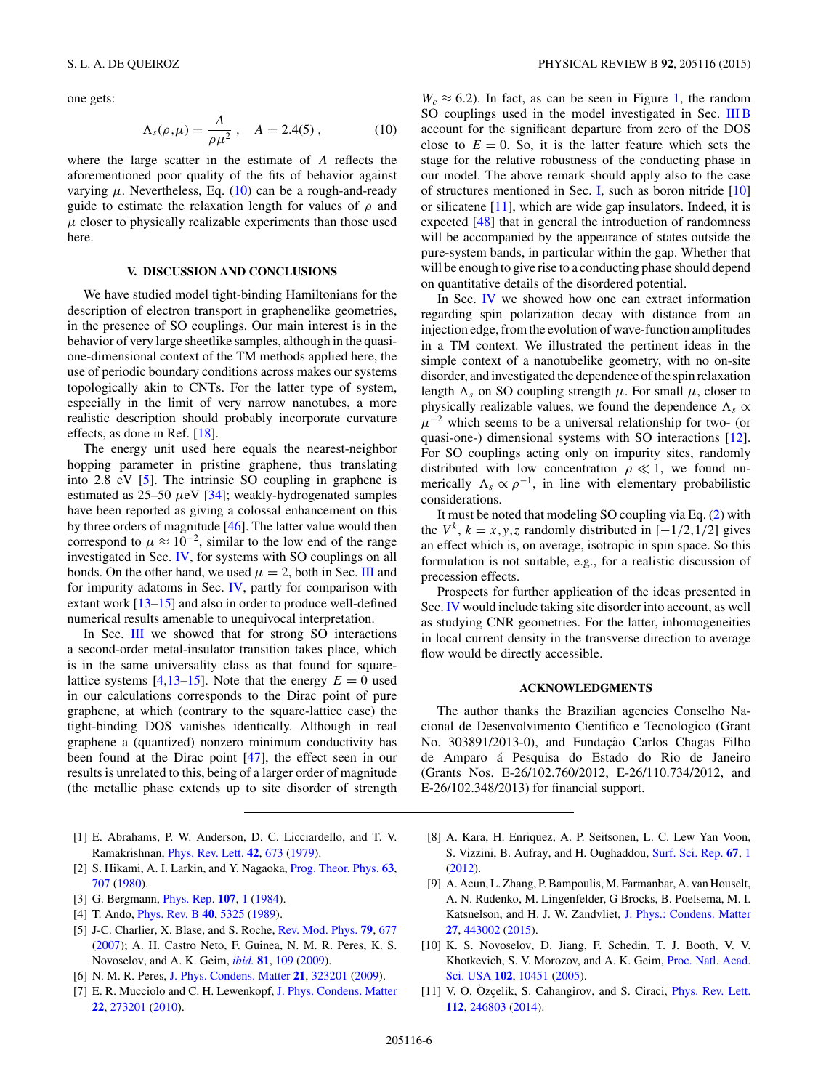<span id="page-5-0"></span>one gets:

$$
\Lambda_s(\rho,\mu) = \frac{A}{\rho \mu^2} \,, \quad A = 2.4(5) \,, \tag{10}
$$

where the large scatter in the estimate of *A* reflects the aforementioned poor quality of the fits of behavior against varying  $μ$ . Nevertheless, Eq.  $(10)$  can be a rough-and-ready guide to estimate the relaxation length for values of *ρ* and  $\mu$  closer to physically realizable experiments than those used here.

### **V. DISCUSSION AND CONCLUSIONS**

We have studied model tight-binding Hamiltonians for the description of electron transport in graphenelike geometries, in the presence of SO couplings. Our main interest is in the behavior of very large sheetlike samples, although in the quasione-dimensional context of the TM methods applied here, the use of periodic boundary conditions across makes our systems topologically akin to CNTs. For the latter type of system, especially in the limit of very narrow nanotubes, a more realistic description should probably incorporate curvature effects, as done in Ref. [\[18\]](#page-6-0).

The energy unit used here equals the nearest-neighbor hopping parameter in pristine graphene, thus translating into 2.8 eV [5]. The intrinsic SO coupling in graphene is estimated as  $25-50 \mu eV$  [\[34\]](#page-6-0); weakly-hydrogenated samples have been reported as giving a colossal enhancement on this by three orders of magnitude [\[46\]](#page-6-0). The latter value would then correspond to  $\mu \approx 10^{-2}$ , similar to the low end of the range investigated in Sec. [IV,](#page-3-0) for systems with SO couplings on all bonds. On the other hand, we used  $\mu = 2$ , both in Sec. [III](#page-1-0) and for impurity adatoms in Sec. [IV,](#page-3-0) partly for comparison with extant work [\[13–15\]](#page-6-0) and also in order to produce well-defined numerical results amenable to unequivocal interpretation.

In Sec. [III](#page-1-0) we showed that for strong SO interactions a second-order metal-insulator transition takes place, which is in the same universality class as that found for square-lattice systems [4[,13–15\]](#page-6-0). Note that the energy  $E = 0$  used in our calculations corresponds to the Dirac point of pure graphene, at which (contrary to the square-lattice case) the tight-binding DOS vanishes identically. Although in real graphene a (quantized) nonzero minimum conductivity has been found at the Dirac point [\[47\]](#page-6-0), the effect seen in our results is unrelated to this, being of a larger order of magnitude (the metallic phase extends up to site disorder of strength

- [1] E. Abrahams, P. W. Anderson, D. C. Licciardello, and T. V. Ramakrishnan, [Phys. Rev. Lett.](http://dx.doi.org/10.1103/PhysRevLett.42.673) **[42](http://dx.doi.org/10.1103/PhysRevLett.42.673)**, [673](http://dx.doi.org/10.1103/PhysRevLett.42.673) [\(1979\)](http://dx.doi.org/10.1103/PhysRevLett.42.673).
- [2] S. Hikami, A. I. Larkin, and Y. Nagaoka, [Prog. Theor. Phys.](http://dx.doi.org/10.1143/PTP.63.707) **[63](http://dx.doi.org/10.1143/PTP.63.707)**, [707](http://dx.doi.org/10.1143/PTP.63.707) [\(1980\)](http://dx.doi.org/10.1143/PTP.63.707).
- [3] G. Bergmann, [Phys. Rep.](http://dx.doi.org/10.1016/0370-1573(84)90103-0) **[107](http://dx.doi.org/10.1016/0370-1573(84)90103-0)**, [1](http://dx.doi.org/10.1016/0370-1573(84)90103-0) [\(1984\)](http://dx.doi.org/10.1016/0370-1573(84)90103-0).
- [4] T. Ando, [Phys. Rev. B](http://dx.doi.org/10.1103/PhysRevB.40.5325) **[40](http://dx.doi.org/10.1103/PhysRevB.40.5325)**, [5325](http://dx.doi.org/10.1103/PhysRevB.40.5325) [\(1989\)](http://dx.doi.org/10.1103/PhysRevB.40.5325).
- [5] J-C. Charlier, X. Blase, and S. Roche, [Rev. Mod. Phys.](http://dx.doi.org/10.1103/RevModPhys.79.677) **[79](http://dx.doi.org/10.1103/RevModPhys.79.677)**, [677](http://dx.doi.org/10.1103/RevModPhys.79.677) [\(2007\)](http://dx.doi.org/10.1103/RevModPhys.79.677); A. H. Castro Neto, F. Guinea, N. M. R. Peres, K. S. Novoselov, and A. K. Geim, *[ibid.](http://dx.doi.org/10.1103/RevModPhys.81.109)* **[81](http://dx.doi.org/10.1103/RevModPhys.81.109)**, [109](http://dx.doi.org/10.1103/RevModPhys.81.109) [\(2009\)](http://dx.doi.org/10.1103/RevModPhys.81.109).
- [6] N. M. R. Peres, [J. Phys. Condens. Matter](http://dx.doi.org/10.1088/0953-8984/21/32/323201) **[21](http://dx.doi.org/10.1088/0953-8984/21/32/323201)**, [323201](http://dx.doi.org/10.1088/0953-8984/21/32/323201) [\(2009\)](http://dx.doi.org/10.1088/0953-8984/21/32/323201).
- [7] E. R. Mucciolo and C. H. Lewenkopf, [J. Phys. Condens. Matter](http://dx.doi.org/10.1088/0953-8984/22/27/273201) **[22](http://dx.doi.org/10.1088/0953-8984/22/27/273201)**, [273201](http://dx.doi.org/10.1088/0953-8984/22/27/273201) [\(2010\)](http://dx.doi.org/10.1088/0953-8984/22/27/273201).

 $W_c \approx 6.2$ ). In fact, as can be seen in Figure [1,](#page-2-0) the random SO couplings used in the model investigated in Sec. [III B](#page-2-0) account for the significant departure from zero of the DOS close to  $E = 0$ . So, it is the latter feature which sets the stage for the relative robustness of the conducting phase in our model. The above remark should apply also to the case of structures mentioned in Sec. [I,](#page-0-0) such as boron nitride [10] or silicatene [11], which are wide gap insulators. Indeed, it is expected [\[48\]](#page-6-0) that in general the introduction of randomness will be accompanied by the appearance of states outside the pure-system bands, in particular within the gap. Whether that will be enough to give rise to a conducting phase should depend on quantitative details of the disordered potential.

In Sec. [IV](#page-3-0) we showed how one can extract information regarding spin polarization decay with distance from an injection edge, from the evolution of wave-function amplitudes in a TM context. We illustrated the pertinent ideas in the simple context of a nanotubelike geometry, with no on-site disorder, and investigated the dependence of the spin relaxation length  $\Lambda_s$  on SO coupling strength  $\mu$ . For small  $\mu$ , closer to physically realizable values, we found the dependence  $\Lambda_s \propto$  $\mu^{-2}$  which seems to be a universal relationship for two- (or quasi-one-) dimensional systems with SO interactions [\[12\]](#page-6-0). For SO couplings acting only on impurity sites, randomly distributed with low concentration  $\rho \ll 1$ , we found numerically  $\Lambda_s \propto \rho^{-1}$ , in line with elementary probabilistic considerations.

It must be noted that modeling SO coupling via Eq. [\(2\)](#page-0-0) with the  $V^k$ ,  $k = x, y, z$  randomly distributed in  $[-1/2, 1/2]$  gives an effect which is, on average, isotropic in spin space. So this formulation is not suitable, e.g., for a realistic discussion of precession effects.

Prospects for further application of the ideas presented in Sec. [IV](#page-3-0) would include taking site disorder into account, as well as studying CNR geometries. For the latter, inhomogeneities in local current density in the transverse direction to average flow would be directly accessible.

### **ACKNOWLEDGMENTS**

The author thanks the Brazilian agencies Conselho Nacional de Desenvolvimento Cientifico e Tecnologico (Grant No. 303891/2013-0), and Fundação Carlos Chagas Filho de Amparo á Pesquisa do Estado do Rio de Janeiro (Grants Nos. E-26/102.760/2012, E-26/110.734/2012, and E-26/102.348/2013) for financial support.

- [8] A. Kara, H. Enriquez, A. P. Seitsonen, L. C. Lew Yan Voon, S. Vizzini, B. Aufray, and H. Oughaddou, [Surf. Sci. Rep.](http://dx.doi.org/10.1016/j.surfrep.2011.10.001) **[67](http://dx.doi.org/10.1016/j.surfrep.2011.10.001)**, [1](http://dx.doi.org/10.1016/j.surfrep.2011.10.001) [\(2012\)](http://dx.doi.org/10.1016/j.surfrep.2011.10.001).
- [9] A. Acun, L. Zhang, P. Bampoulis, M. Farmanbar, A. van Houselt, A. N. Rudenko, M. Lingenfelder, G Brocks, B. Poelsema, M. I. Katsnelson, and H. J. W. Zandvliet, [J. Phys.: Condens. Matter](http://dx.doi.org/10.1088/0953-8984/27/44/443002) **[27](http://dx.doi.org/10.1088/0953-8984/27/44/443002)**, [443002](http://dx.doi.org/10.1088/0953-8984/27/44/443002) [\(2015\)](http://dx.doi.org/10.1088/0953-8984/27/44/443002).
- [10] K. S. Novoselov, D. Jiang, F. Schedin, T. J. Booth, V. V. [Khotkevich, S. V. Morozov, and A. K. Geim,](http://dx.doi.org/10.1073/pnas.0502848102) Proc. Natl. Acad. Sci. USA **[102](http://dx.doi.org/10.1073/pnas.0502848102)**, [10451](http://dx.doi.org/10.1073/pnas.0502848102) [\(2005\)](http://dx.doi.org/10.1073/pnas.0502848102).
- [11] V. O. Özçelik, S. Cahangirov, and S. Ciraci, *[Phys. Rev. Lett.](http://dx.doi.org/10.1103/PhysRevLett.112.246803)* **[112](http://dx.doi.org/10.1103/PhysRevLett.112.246803)**, [246803](http://dx.doi.org/10.1103/PhysRevLett.112.246803) [\(2014\)](http://dx.doi.org/10.1103/PhysRevLett.112.246803).